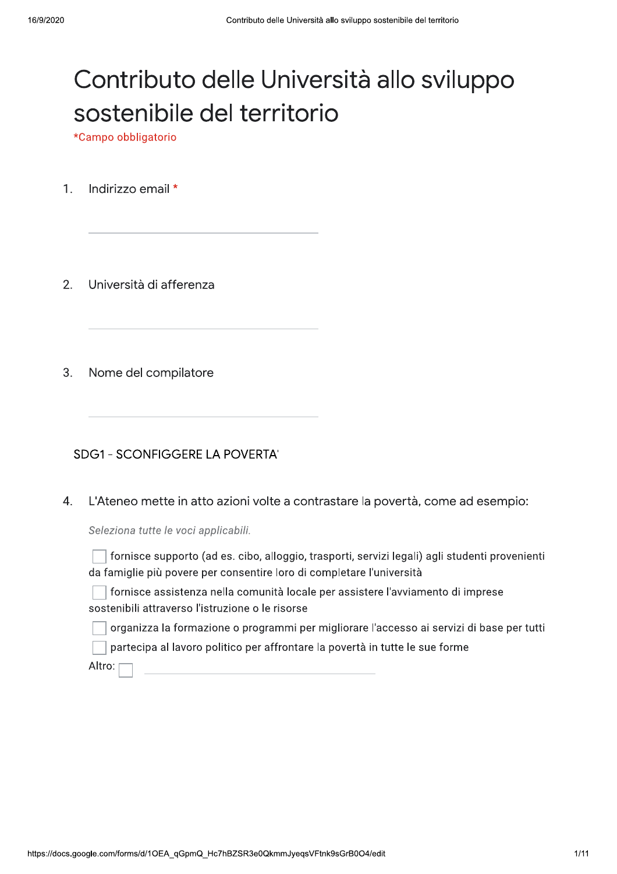# Contributo delle Università allo sviluppo sostenibile del territorio

\*Campo obbligatorio

Indirizzo email \*  $1<sub>1</sub>$ 

Università di afferenza 2.

 $3.$ Nome del compilatore

**SDG1 - SCONFIGGERE LA POVERTA'** 

L'Ateneo mette in atto azioni volte a contrastare la povertà, come ad esempio:  $\overline{4}$ .

Seleziona tutte le voci applicabili.

fornisce supporto (ad es. cibo, alloggio, trasporti, servizi legali) agli studenti provenienti da famiglie più povere per consentire loro di completare l'università

fornisce assistenza nella comunità locale per assistere l'avviamento di imprese sostenibili attraverso l'istruzione o le risorse

organizza la formazione o programmi per migliorare l'accesso ai servizi di base per tutti

partecipa al lavoro politico per affrontare la povertà in tutte le sue forme

Altro: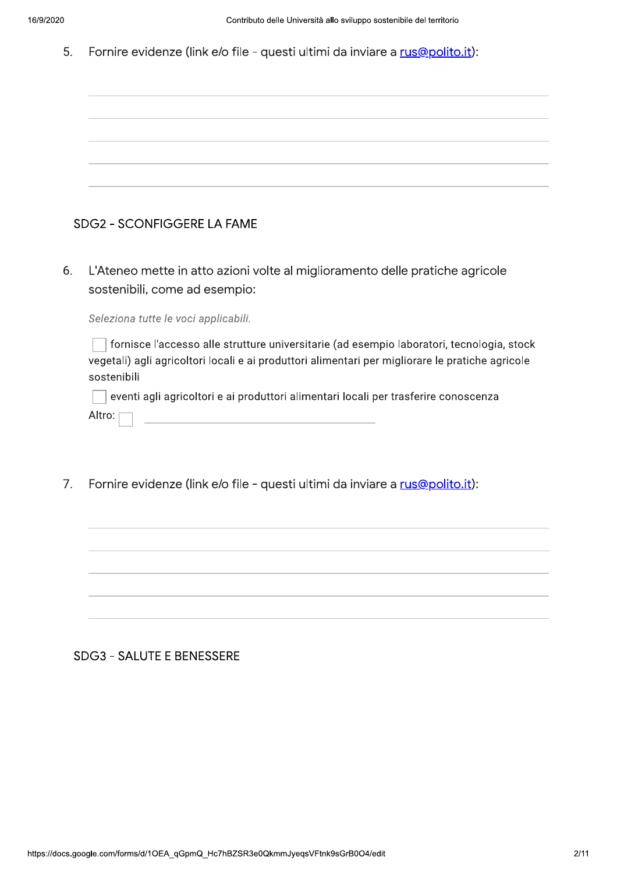5. Fornire evidenze (link e/o file - questi ultimi da inviare a rus@polito.it):

 $6.$ L'Ateneo mette in atto azioni volte al miglioramento delle pratiche agricole sostenibili, come ad esempio:

Seleziona tutte le voci applicabili.<br>
I fornisce l'accesso alle strutture universitarie (ad esempio laboratori, tecnologia, stock<br>
vegetali) agli agricoltori locali e ai produttori alimentari per migliorare le pratiche agr

| eventi agli agricoltori e ai produttori alimentari locali per trasferire conoscenza |  |  |  |
|-------------------------------------------------------------------------------------|--|--|--|
| Altro: $\Box$                                                                       |  |  |  |

 $7<sub>1</sub>$ Fornire evidenze (link e/o file - questi ultimi da inviare a rus@polito.it):

### SDG3 - SALUTE E BENESSERE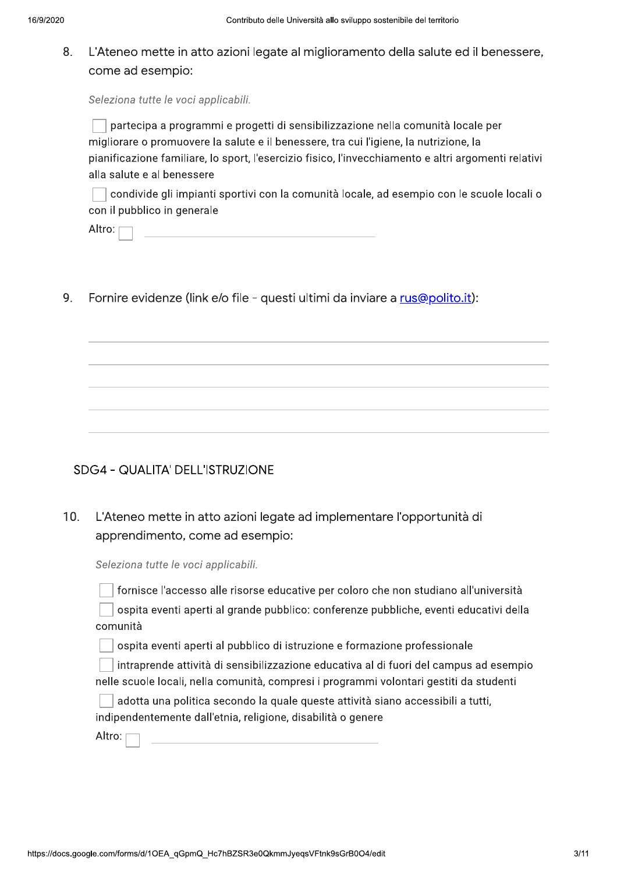### L'Ateneo mette in atto azioni legate al miglioramento della salute ed il benessere, 8. come ad esempio:

Seleziona tutte le voci applicabili.

partecipa a programmi e progetti di sensibilizzazione nella comunità locale per migliorare o promuovere la salute e il benessere, tra cui l'igiene, la nutrizione, la pianificazione familiare, lo sport, l'esercizio fisico, l'invecchiamento e altri argomenti relativi alla salute e al benessere

condivide gli impianti sportivi con la comunità locale, ad esempio con le scuole locali o con il pubblico in generale

Altro: p

 $\mathsf{Q}$ Fornire evidenze (link e/o file - questi ultimi da inviare a rus@polito.it):

## SDG4 - QUALITA' DELL'ISTRUZIONE

 $10.$ L'Ateneo mette in atto azioni legate ad implementare l'opportunità di apprendimento, come ad esempio:

Seleziona tutte le voci applicabili.

fornisce l'accesso alle risorse educative per coloro che non studiano all'università

ospita eventi aperti al grande pubblico: conferenze pubbliche, eventi educativi della comunità

ospita eventi aperti al pubblico di istruzione e formazione professionale

intraprende attività di sensibilizzazione educativa al di fuori del campus ad esempio nelle scuole locali, nella comunità, compresi i programmi volontari gestiti da studenti

|  | adotta una politica secondo la quale queste attività siano accessibili a tutti, |
|--|---------------------------------------------------------------------------------|
|  | indipendentemente dall'etnia, religione, disabilità o genere                    |

Altro: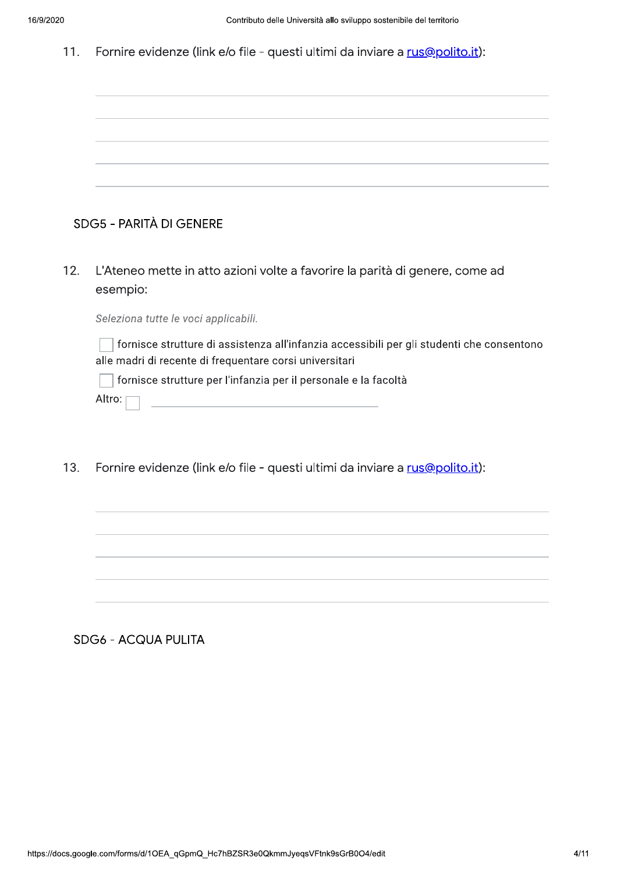|  |  | 11. Fornire evidenze (link e/o file - questi ultimi da inviare a rus@polito.it): |  |  |  |
|--|--|----------------------------------------------------------------------------------|--|--|--|
|--|--|----------------------------------------------------------------------------------|--|--|--|

|     | SDG5 - PARITÀ DI GENERE                                                                                                                              |
|-----|------------------------------------------------------------------------------------------------------------------------------------------------------|
|     |                                                                                                                                                      |
| 12. | L'Ateneo mette in atto azioni volte a favorire la parità di genere, come ad<br>esempio:                                                              |
|     | Seleziona tutte le voci applicabili.                                                                                                                 |
|     | fornisce strutture di assistenza all'infanzia accessibili per gli studenti che consentono<br>alle madri di recente di frequentare corsi universitari |
|     | fornisce strutture per l'infanzia per il personale e la facoltà                                                                                      |
|     | Altro:<br><u> 1990 - Jan James James Jan James James James James James James James James James James James James James James</u>                     |
|     |                                                                                                                                                      |
|     |                                                                                                                                                      |

 $13.$ Fornire evidenze (link e/o file - questi ultimi da inviare a rus@polito.it):

SDG6 - ACQUA PULITA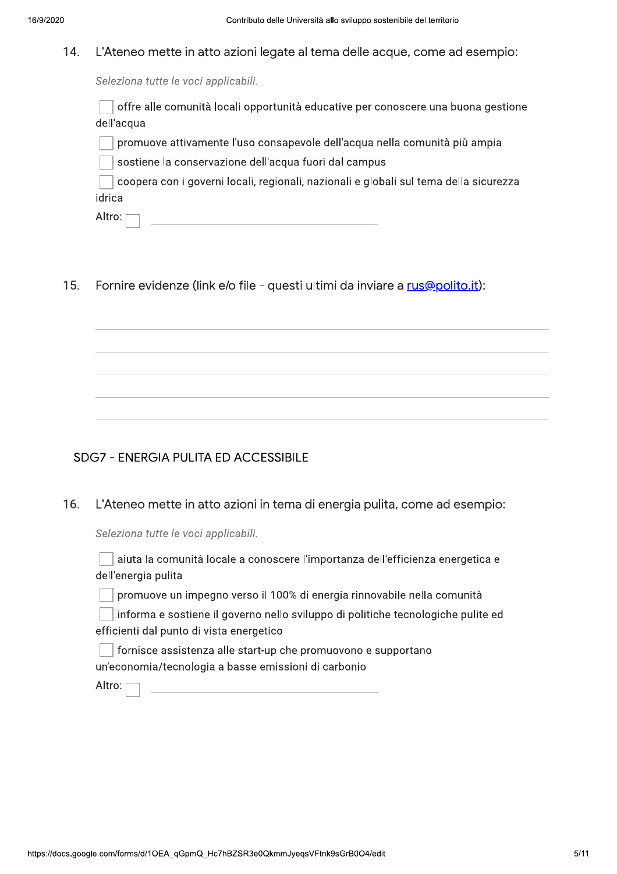#### 14. L'Ateneo mette in atto azioni legate al tema delle acque, come ad esempio:

Seleziona tutte le voci applicabili.

offre alle comunità locali opportunità educative per conoscere una buona gestione dell'acqua

promuove attivamente l'uso consapevole dell'acqua nella comunità più ampia

sostiene la conservazione dell'acqua fuori dal campus

coopera con i governi locali, regionali, nazionali e globali sul tema della sicurezza idrica

Altro:

 $15.$ Fornire evidenze (link e/o file - questi ultimi da inviare a rus@polito.it):

## **SDG7 - ENERGIA PULITA ED ACCESSIBILE**

16. L'Ateneo mette in atto azioni in tema di energia pulita, come ad esempio:

Seleziona tutte le voci applicabili.

aiuta la comunità locale a conoscere l'importanza dell'efficienza energetica e dell'energia pulita

promuove un impegno verso il 100% di energia rinnovabile nella comunità

informa e sostiene il governo nello sviluppo di politiche tecnologiche pulite ed efficienti dal punto di vista energetico

fornisce assistenza alle start-up che promuovono e supportano un'economia/tecnologia a basse emissioni di carbonio

Altro: [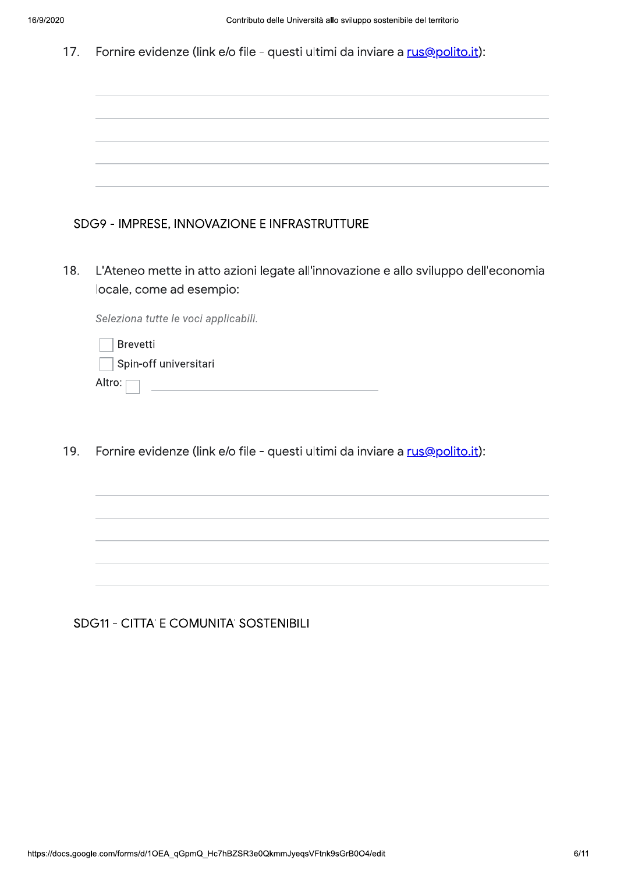|  | 17. Fornire evidenze (link e/o file - questi ultimi da inviare a rus@polito.it): |  |  |  |  |
|--|----------------------------------------------------------------------------------|--|--|--|--|
|--|----------------------------------------------------------------------------------|--|--|--|--|

| SDG9 - IMPRESE, INNOVAZIONE E INFRASTRUTTURE |  |
|----------------------------------------------|--|

L'Ateneo mette in atto azioni legate all'innovazione e allo sviluppo dell'economia 18. locale, come ad esempio:

Seleziona tutte le voci applicabili.

| <b>Brevetti</b>       |
|-----------------------|
| Spin-off universitari |
| Altro: [              |

Fornire evidenze (link e/o file - questi ultimi da inviare a rus@polito.it): 19.

# **SDG11 - CITTA' E COMUNITA' SOSTENIBILI**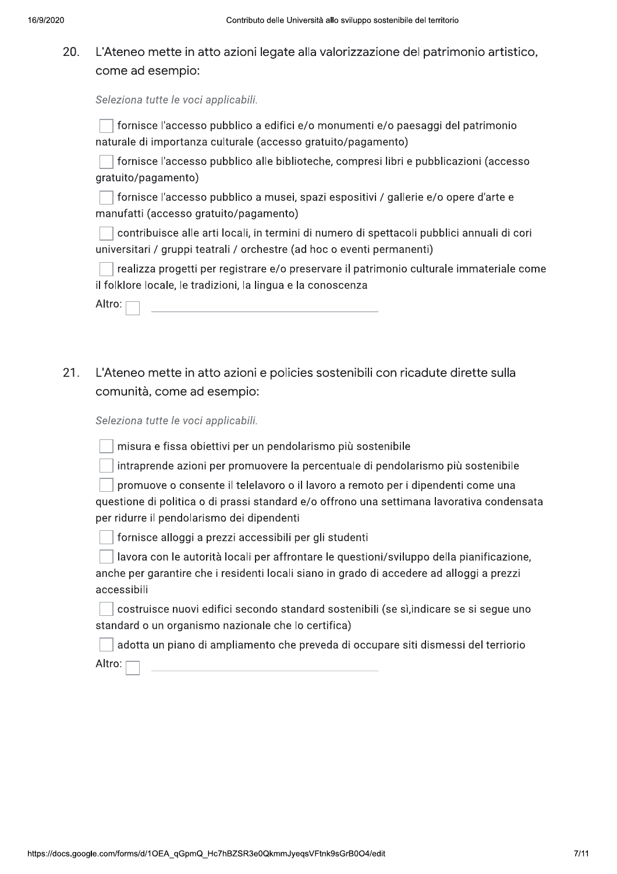### 20. L'Ateneo mette in atto azioni legate alla valorizzazione del patrimonio artistico, come ad esempio:

Seleziona tutte le voci applicabili.

| □ fornisce l'accesso pubblico a edifici e/o monumenti e/o paesaggi del patrimonio |  |
|-----------------------------------------------------------------------------------|--|
| naturale di importanza culturale (accesso gratuito/pagamento)                     |  |

fornisce l'accesso pubblico alle biblioteche, compresi libri e pubblicazioni (accesso qratuito/pagamento)

Timas fornisce l'accesso pubblico a musei, spazi espositivi / gallerie e/o opere d'arte e manufatti (accesso gratuito/pagamento)

contribuisce alle arti locali, in termini di numero di spettacoli pubblici annuali di cori universitari / gruppi teatrali / orchestre (ad hoc o eventi permanenti)

realizza progetti per registrare e/o preservare il patrimonio culturale immateriale come il folklore locale, le tradizioni, la lingua e la conoscenza

| Altro: |  |
|--------|--|
|        |  |

 $21.$ L'Ateneo mette in atto azioni e policies sostenibili con ricadute dirette sulla comunità, come ad esempio:

Seleziona tutte le voci applicabili.

misura e fissa obiettivi per un pendolarismo più sostenibile

intraprende azioni per promuovere la percentuale di pendolarismo più sostenibile

promuove o consente il telelavoro o il lavoro a remoto per i dipendenti come una

questione di politica o di prassi standard e/o offrono una settimana lavorativa condensata per ridurre il pendolarismo dei dipendenti

ornisce alloggi a prezzi accessibili per gli studenti

lavora con le autorità locali per affrontare le questioni/sviluppo della pianificazione, anche per garantire che i residenti locali siano in grado di accedere ad alloggi a prezzi accessibili

costruisce nuovi edifici secondo standard sostenibili (se sì, indicare se si seque uno standard o un organismo nazionale che lo certifica)

Altro: adotta un piano di ampliamento che preveda di occupare siti dismessi del terriorio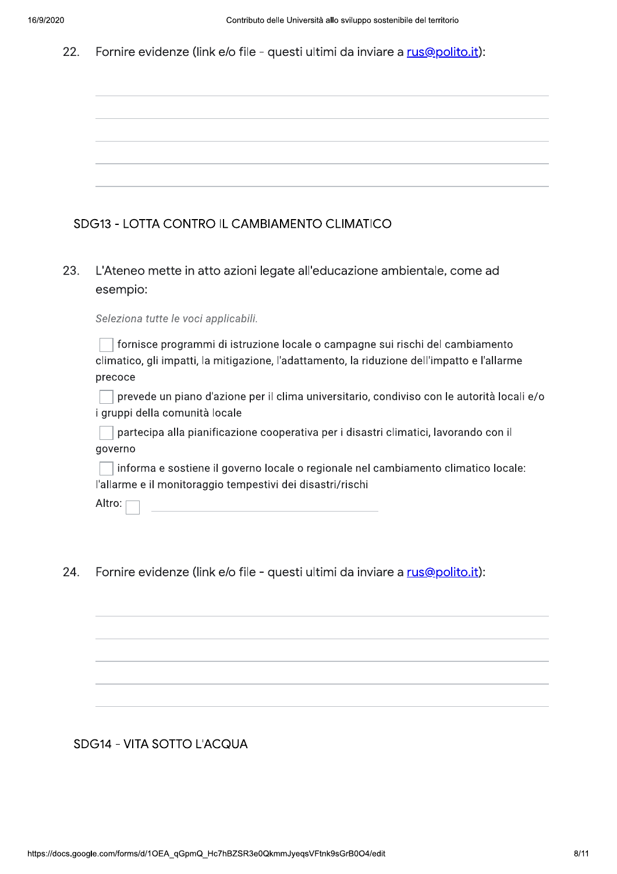#### 22. Fornire evidenze (link e/o file - questi ultimi da inviare a rus@polito.it):

# SDG13 - LOTTA CONTRO IL CAMBIAMENTO CLIMATICO

23. L'Ateneo mette in atto azioni legate all'educazione ambientale, come ad esempio:

Seleziona tutte le voci applicabili.

fornisce programmi di istruzione locale o campagne sui rischi del cambiamento climatico, gli impatti, la mitigazione, l'adattamento, la riduzione dell'impatto e l'allarme precoce

prevede un piano d'azione per il clima universitario, condiviso con le autorità locali e/o i gruppi della comunità locale

 $\Box$  partecipa alla pianificazione cooperativa per i disastri climatici, lavorando con il governo

informa e sostiene il governo locale o regionale nel cambiamento climatico locale: l'allarme e il monitoraggio tempestivi dei disastri/rischi

Altro: [

24. Fornire evidenze (link e/o file - questi ultimi da inviare a rus@polito.it):

## SDG14 - VITA SOTTO L'ACQUA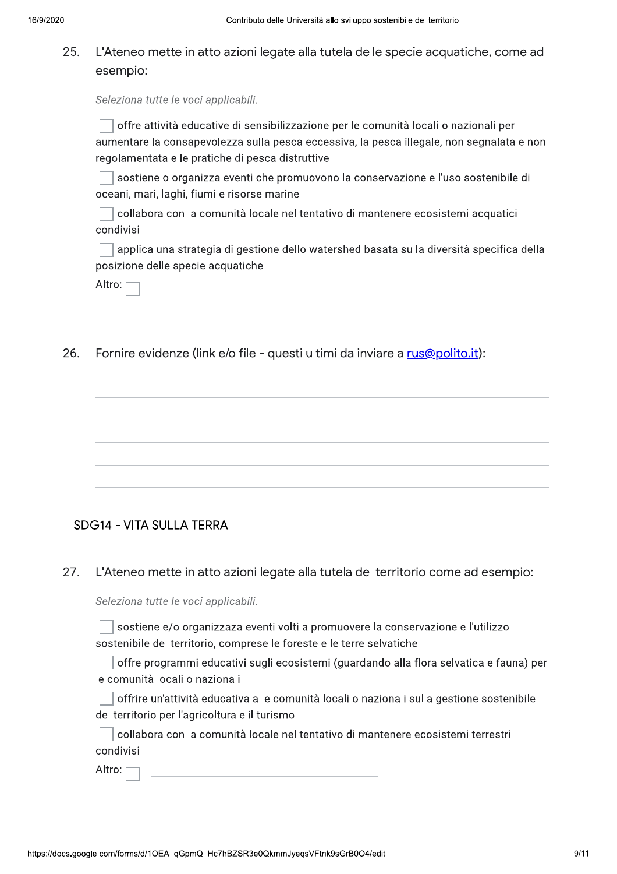### 25. L'Ateneo mette in atto azioni legate alla tutela delle specie acquatiche, come ad esempio:

Seleziona tutte le voci applicabili.

| offre attività educative di sensibilizzazione per le comunità locali o nazionali per      |
|-------------------------------------------------------------------------------------------|
| aumentare la consapevolezza sulla pesca eccessiva, la pesca illegale, non segnalata e non |
| regolamentata e le pratiche di pesca distruttive                                          |

 $\Box$  sostiene o organizza eventi che promuovono la conservazione e l'uso sostenibile di oceani, mari, laghi, fiumi e risorse marine

collabora con la comunità locale nel tentativo di mantenere ecosistemi acquatici condivisi

applica una strategia di gestione dello watershed basata sulla diversità specifica della posizione delle specie acquatiche

| Altro: |
|--------|
|--------|

26 Fornire evidenze (link e/o file - questi ultimi da inviare a rus@polito.it):

## **SDG14 - VITA SULLA TERRA**

27. L'Ateneo mette in atto azioni legate alla tutela del territorio come ad esempio:

Seleziona tutte le voci applicabili.

sostiene e/o organizzaza eventi volti a promuovere la conservazione e l'utilizzo sostenibile del territorio, comprese le foreste e le terre selvatiche

 $\Box$  offre programmi educativi sugli ecosistemi (guardando alla flora selvatica e fauna) per le comunità locali o nazionali

offrire un'attività educativa alle comunità locali o nazionali sulla gestione sostenibile del territorio per l'agricoltura e il turismo

 $\Box$  collabora con la comunità locale nel tentativo di mantenere ecosistemi terrestri condivisi

Altro: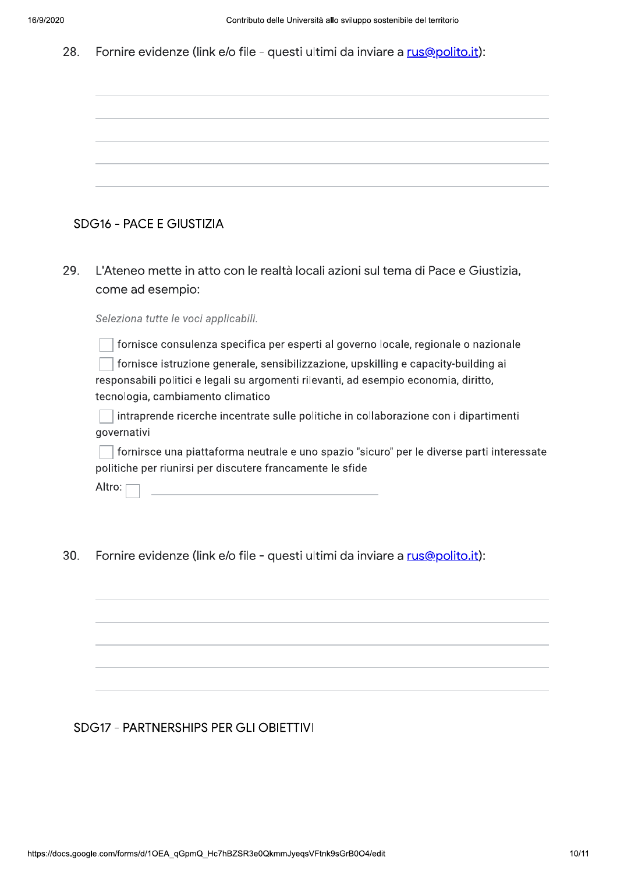#### Fornire evidenze (link e/o file - questi ultimi da inviare a rus@polito.it): 28.

|     | <b>SDG16 - PACE E GIUSTIZIA</b>                                                                                                                                                                                                                                                                       |
|-----|-------------------------------------------------------------------------------------------------------------------------------------------------------------------------------------------------------------------------------------------------------------------------------------------------------|
| 29. | L'Ateneo mette in atto con le realtà locali azioni sul tema di Pace e Giustizia,<br>come ad esempio:<br>Seleziona tutte le voci applicabili.                                                                                                                                                          |
|     | fornisce consulenza specifica per esperti al governo locale, regionale o nazionale<br>fornisce istruzione generale, sensibilizzazione, upskilling e capacity-building ai<br>responsabili politici e legali su argomenti rilevanti, ad esempio economia, diritto,<br>tecnologia, cambiamento climatico |
|     | intraprende ricerche incentrate sulle politiche in collaborazione con i dipartimenti<br>governativi                                                                                                                                                                                                   |
|     | fornirsce una piattaforma neutrale e uno spazio "sicuro" per le diverse parti interessate<br>politiche per riunirsi per discutere francamente le sfide                                                                                                                                                |
|     | Altro:                                                                                                                                                                                                                                                                                                |
| 30. | Fornire evidenze (link e/o file - questi ultimi da inviare a rus@polito.it):                                                                                                                                                                                                                          |

# SDG17 - PARTNERSHIPS PER GLI OBIETTIVI